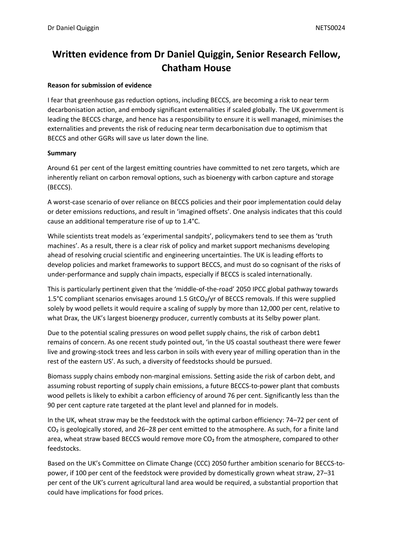# **Written evidence from Dr Daniel Quiggin, Senior Research Fellow, Chatham House**

### **Reason for submission of evidence**

I fear that greenhouse gas reduction options, including BECCS, are becoming a risk to near term decarbonisation action, and embody significant externalities if scaled globally. The UK government is leading the BECCS charge, and hence has a responsibility to ensure it is well managed, minimises the externalities and prevents the risk of reducing near term decarbonisation due to optimism that BECCS and other GGRs will save us later down the line.

#### **Summary**

Around 61 per cent of the largest emitting countries have committed to net zero targets, which are inherently reliant on carbon removal options, such as bioenergy with carbon capture and storage (BECCS).

A worst-case scenario of over reliance on BECCS policies and their poor implementation could delay or deter emissions reductions, and result in 'imagined offsets'. One analysis indicates that this could cause an additional temperature rise of up to 1.4°C.

While scientists treat models as 'experimental sandpits', policymakers tend to see them as 'truth machines'. As a result, there is a clear risk of policy and market support mechanisms developing ahead of resolving crucial scientific and engineering uncertainties. The UK is leading efforts to develop policies and market frameworks to support BECCS, and must do so cognisant of the risks of under-performance and supply chain impacts, especially if BECCS is scaled internationally.

This is particularly pertinent given that the 'middle-of-the-road' 2050 IPCC global pathway towards 1.5°C compliant scenarios envisages around 1.5 GtCO₂/yr of BECCS removals. If this were supplied solely by wood pellets it would require a scaling of supply by more than 12,000 per cent, relative to what Drax, the UK's largest bioenergy producer, currently combusts at its Selby power plant.

Due to the potential scaling pressures on wood pellet supply chains, the risk of carbon debt1 remains of concern. As one recent study pointed out, 'in the US coastal southeast there were fewer live and growing-stock trees and less carbon in soils with every year of milling operation than in the rest of the eastern US'. As such, a diversity of feedstocks should be pursued.

Biomass supply chains embody non-marginal emissions. Setting aside the risk of carbon debt, and assuming robust reporting of supply chain emissions, a future BECCS-to-power plant that combusts wood pellets is likely to exhibit a carbon efficiency of around 76 per cent. Significantly less than the 90 per cent capture rate targeted at the plant level and planned for in models.

In the UK, wheat straw may be the feedstock with the optimal carbon efficiency: 74–72 per cent of  $CO<sub>2</sub>$  is geologically stored, and 26–28 per cent emitted to the atmosphere. As such, for a finite land area, wheat straw based BECCS would remove more  $CO<sub>2</sub>$  from the atmosphere, compared to other feedstocks.

Based on the UK's Committee on Climate Change (CCC) 2050 further ambition scenario for BECCS-topower, if 100 per cent of the feedstock were provided by domestically grown wheat straw, 27–31 per cent of the UK's current agricultural land area would be required, a substantial proportion that could have implications for food prices.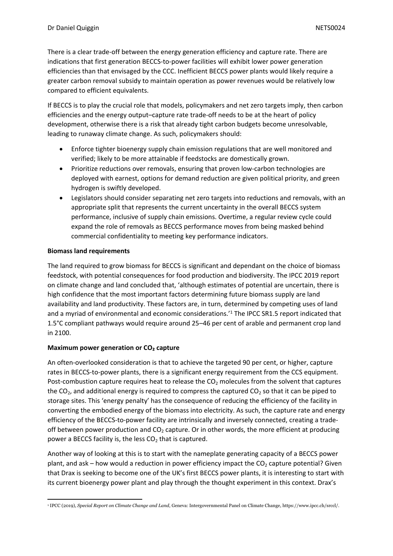There is a clear trade-off between the energy generation efficiency and capture rate. There are indications that first generation BECCS-to-power facilities will exhibit lower power generation efficiencies than that envisaged by the CCC. Inefficient BECCS power plants would likely require a greater carbon removal subsidy to maintain operation as power revenues would be relatively low compared to efficient equivalents.

If BECCS is to play the crucial role that models, policymakers and net zero targets imply, then carbon efficiencies and the energy output–capture rate trade-off needs to be at the heart of policy development, otherwise there is a risk that already tight carbon budgets become unresolvable, leading to runaway climate change. As such, policymakers should:

- Enforce tighter bioenergy supply chain emission regulations that are well monitored and verified; likely to be more attainable if feedstocks are domestically grown.
- Prioritize reductions over removals, ensuring that proven low-carbon technologies are deployed with earnest, options for demand reduction are given political priority, and green hydrogen is swiftly developed.
- Legislators should consider separating net zero targets into reductions and removals, with an appropriate split that represents the current uncertainty in the overall BECCS system performance, inclusive of supply chain emissions. Overtime, a regular review cycle could expand the role of removals as BECCS performance moves from being masked behind commercial confidentiality to meeting key performance indicators.

### **Biomass land requirements**

The land required to grow biomass for BECCS is significant and dependant on the choice of biomass feedstock, with potential consequences for food production and biodiversity. The IPCC 2019 report on climate change and land concluded that, 'although estimates of potential are uncertain, there is high confidence that the most important factors determining future biomass supply are land availability and land productivity. These factors are, in turn, determined by competing uses of land and a myriad of environmental and economic considerations.<sup>11</sup> The IPCC SR1.5 report indicated that 1.5°C compliant pathways would require around 25–46 per cent of arable and permanent crop land in 2100.

## **Maximum power generation or CO₂ capture**

An often-overlooked consideration is that to achieve the targeted 90 per cent, or higher, capture rates in BECCS-to-power plants, there is a significant energy requirement from the CCS equipment. Post-combustion capture requires heat to release the  $CO<sub>2</sub>$  molecules from the solvent that captures the  $CO<sub>2</sub>$ , and additional energy is required to compress the captured  $CO<sub>2</sub>$  so that it can be piped to storage sites. This 'energy penalty' has the consequence of reducing the efficiency of the facility in converting the embodied energy of the biomass into electricity. As such, the capture rate and energy efficiency of the BECCS-to-power facility are intrinsically and inversely connected, creating a tradeoff between power production and  $CO<sub>2</sub>$  capture. Or in other words, the more efficient at producing power a BECCS facility is, the less  $CO<sub>2</sub>$  that is captured.

Another way of looking at this is to start with the nameplate generating capacity of a BECCS power plant, and ask – how would a reduction in power efficiency impact the  $CO<sub>2</sub>$  capture potential? Given that Drax is seeking to become one of the UK's first BECCS power plants, it is interesting to start with its current bioenergy power plant and play through the thought experiment in this context. Drax's

<sup>1</sup> IPCC (2019), *Special Report on Climate Change and Land*, Geneva: Intergovernmental Panel on Climate Change, https://www.ipcc.ch/srccl/.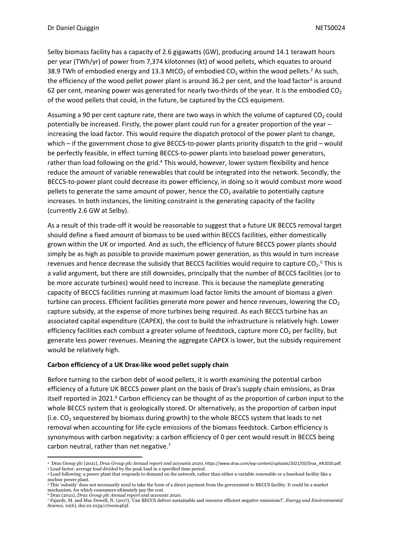Selby biomass facility has a capacity of 2.6 gigawatts (GW), producing around 14.1 terawatt hours per year (TWh/yr) of power from 7,374 kilotonnes (kt) of wood pellets, which equates to around 38.9 TWh of embodied energy and 13.3 MtCO<sub>2</sub> of embodied CO<sub>2</sub> within the wood pellets.<sup>2</sup> As such, the efficiency of the wood pellet power plant is around 36.2 per cent, and the load factor<sup>3</sup> is around 62 per cent, meaning power was generated for nearly two-thirds of the year. It is the embodied  $CO<sub>2</sub>$ of the wood pellets that could, in the future, be captured by the CCS equipment.

Assuming a 90 per cent capture rate, there are two ways in which the volume of captured CO<sub>2</sub> could potentially be increased. Firstly, the power plant could run for a greater proportion of the year – increasing the load factor. This would require the dispatch protocol of the power plant to change, which – if the government chose to give BECCS-to-power plants priority dispatch to the grid – would be perfectly feasible, in effect turning BECCS-to-power plants into baseload power generators, rather than load following on the grid.<sup>4</sup> This would, however, lower system flexibility and hence reduce the amount of variable renewables that could be integrated into the network. Secondly, the BECCS-to-power plant could decrease its power efficiency, in doing so it would combust more wood pellets to generate the same amount of power, hence the CO<sub>2</sub> available to potentially capture increases. In both instances, the limiting constraint is the generating capacity of the facility (currently 2.6 GW at Selby).

As a result of this trade-off it would be reasonable to suggest that a future UK BECCS removal target should define a fixed amount of biomass to be used within BECCS facilities, either domestically grown within the UK or imported. And as such, the efficiency of future BECCS power plants should simply be as high as possible to provide maximum power generation, as this would in turn increase revenues and hence decrease the subsidy that BECCS facilities would require to capture  $CO_2$ .<sup>5</sup> This is a valid argument, but there are still downsides, principally that the number of BECCS facilities (or to be more accurate turbines) would need to increase. This is because the nameplate generating capacity of BECCS facilities running at maximum load factor limits the amount of biomass a given turbine can process. Efficient facilities generate more power and hence revenues, lowering the  $CO<sub>2</sub>$ capture subsidy, at the expense of more turbines being required. As each BECCS turbine has an associated capital expenditure (CAPEX), the cost to build the infrastructure is relatively high. Lower efficiency facilities each combust a greater volume of feedstock, capture more  $CO<sub>2</sub>$  per facility, but generate less power revenues. Meaning the aggregate CAPEX is lower, but the subsidy requirement would be relatively high.

## **Carbon efficiency of a UK Drax-like wood pellet supply chain**

Before turning to the carbon debt of wood pellets, it is worth examining the potential carbon efficiency of a future UK BECCS power plant on the basis of Drax's supply chain emissions, as Drax itself reported in 2021.<sup>6</sup> Carbon efficiency can be thought of as the proportion of carbon input to the whole BECCS system that is geologically stored. Or alternatively, as the proportion of carbon input (i.e.  $CO<sub>2</sub>$  sequestered by biomass during growth) to the whole BECCS system that leads to net removal when accounting for life cycle emissions of the biomass feedstock. Carbon efficiency is synonymous with carbon negativity: a carbon efficiency of 0 per cent would result in BECCS being carbon neutral, rather than net negative.<sup>7</sup>

<sup>2</sup> Drax Group plc (2021), *Drax Group plc Annual report and accounts 2020*, https://www.drax.com/wp-content/uploads/2021/03/Drax\_AR2020.pdf. <sup>3</sup> Load factor: average load divided by the peak load in a specified time period.

<sup>4</sup> Load following: a power plant that responds to demand on the network, rather than either a variable renewable or a baseload facility like a nuclear power plant. <sup>5</sup> This 'subsidy' does not necessarily need to take the form of a direct payment from the government to BECCS facility. It could be a market

mechanism, for which consumers ultimately pay the cost. <sup>6</sup> Drax (2021), *Drax Group plc Annual report and accounts 2020*.

<sup>7</sup> Fajardy, M. and Mac Dowell, N. (2017), 'Can BECCS deliver sustainable and resource efficient negative emissions?', *Energy and Environmental Science*, 10(6), doi:10.1039/c7ee00465f.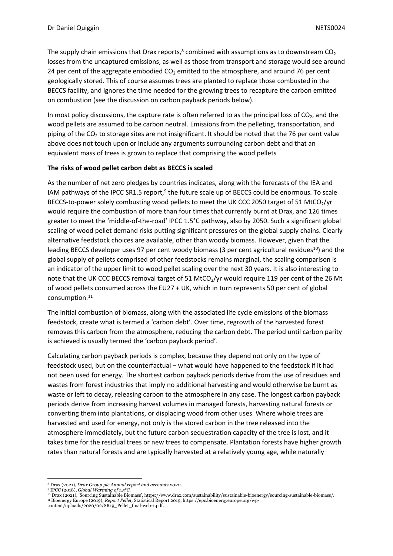The supply chain emissions that Drax reports, $8$  combined with assumptions as to downstream  $CO<sub>2</sub>$ losses from the uncaptured emissions, as well as those from transport and storage would see around 24 per cent of the aggregate embodied  $CO<sub>2</sub>$  emitted to the atmosphere, and around 76 per cent geologically stored. This of course assumes trees are planted to replace those combusted in the BECCS facility, and ignores the time needed for the growing trees to recapture the carbon emitted on combustion (see the discussion on carbon payback periods below).

In most policy discussions, the capture rate is often referred to as the principal loss of  $CO<sub>2</sub>$ , and the wood pellets are assumed to be carbon neutral. Emissions from the pelleting, transportation, and piping of the  $CO<sub>2</sub>$  to storage sites are not insignificant. It should be noted that the 76 per cent value above does not touch upon or include any arguments surrounding carbon debt and that an equivalent mass of trees is grown to replace that comprising the wood pellets

## **The risks of wood pellet carbon debt as BECCS is scaled**

As the number of net zero pledges by countries indicates, along with the forecasts of the IEA and IAM pathways of the IPCC SR1.5 report,<sup>9</sup> the future scale up of BECCS could be enormous. To scale BECCS-to-power solely combusting wood pellets to meet the UK CCC 2050 target of 51 MtCO<sub>2</sub>/yr would require the combustion of more than four times that currently burnt at Drax, and 126 times greater to meet the 'middle-of-the-road' IPCC 1.5°C pathway, also by 2050. Such a significant global scaling of wood pellet demand risks putting significant pressures on the global supply chains. Clearly alternative feedstock choices are available, other than woody biomass. However, given that the leading BECCS developer uses 97 per cent woody biomass (3 per cent agricultural residues<sup>10</sup>) and the global supply of pellets comprised of other feedstocks remains marginal, the scaling comparison is an indicator of the upper limit to wood pellet scaling over the next 30 years. It is also interesting to note that the UK CCC BECCS removal target of 51 MtCO<sub>2</sub>/yr would require 119 per cent of the 26 Mt of wood pellets consumed across the EU27 + UK, which in turn represents 50 per cent of global consumption.<sup>11</sup>

The initial combustion of biomass, along with the associated life cycle emissions of the biomass feedstock, create what is termed a 'carbon debt'. Over time, regrowth of the harvested forest removes this carbon from the atmosphere, reducing the carbon debt. The period until carbon parity is achieved is usually termed the 'carbon payback period'.

Calculating carbon payback periods is complex, because they depend not only on the type of feedstock used, but on the counterfactual – what would have happened to the feedstock if it had not been used for energy. The shortest carbon payback periods derive from the use of residues and wastes from forest industries that imply no additional harvesting and would otherwise be burnt as waste or left to decay, releasing carbon to the atmosphere in any case. The longest carbon payback periods derive from increasing harvest volumes in managed forests, harvesting natural forests or converting them into plantations, or displacing wood from other uses. Where whole trees are harvested and used for energy, not only is the stored carbon in the tree released into the atmosphere immediately, but the future carbon sequestration capacity of the tree is lost, and it takes time for the residual trees or new trees to compensate. Plantation forests have higher growth rates than natural forests and are typically harvested at a relatively young age, while naturally

<sup>8</sup> Drax (2021), *Drax Group plc Annual report and accounts 2020*.

<sup>9</sup> IPCC (2018), *Global Warming of 1.5°C.*

<sup>10</sup> Drax (2021), 'Sourcing Sustainable Biomass', https://www.drax.com/sustainability/sustainable-bioenergy/sourcing-sustainable-biomass/. <sup>11</sup> Bioenergy Europe (2019), *Report Pellet,* Statistical Report 2019, https://epc.bioenergyeurope.org/wp-

content/uploads/2020/02/SR19\_Pellet\_final-web-1.pdf.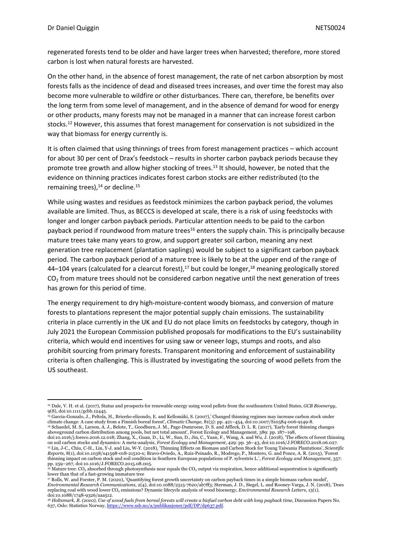regenerated forests tend to be older and have larger trees when harvested; therefore, more stored carbon is lost when natural forests are harvested.

On the other hand, in the absence of forest management, the rate of net carbon absorption by most forests falls as the incidence of dead and diseased trees increases, and over time the forest may also become more vulnerable to wildfire or other disturbances. There can, therefore, be benefits over the long term from some level of management, and in the absence of demand for wood for energy or other products, many forests may not be managed in a manner that can increase forest carbon stocks.<sup>12</sup> However, this assumes that forest management for conservation is not subsidized in the way that biomass for energy currently is.

It is often claimed that using thinnings of trees from forest management practices – which account for about 30 per cent of Drax's feedstock – results in shorter carbon payback periods because they promote tree growth and allow higher stocking of trees.<sup>13</sup> It should, however, be noted that the evidence on thinning practices indicates forest carbon stocks are either redistributed (to the remaining trees), $14$  or decline. $15$ 

While using wastes and residues as feedstock minimizes the carbon payback period, the volumes available are limited. Thus, as BECCS is developed at scale, there is a risk of using feedstocks with longer and longer carbon payback periods. Particular attention needs to be paid to the carbon payback period if roundwood from mature trees<sup>16</sup> enters the supply chain. This is principally because mature trees take many years to grow, and support greater soil carbon, meaning any next generation tree replacement (plantation saplings) would be subject to a significant carbon payback period. The carbon payback period of a mature tree is likely to be at the upper end of the range of 44–104 years (calculated for a clearcut forest), $^{17}$  but could be longer, $^{18}$  meaning geologically stored CO<sub>2</sub> from mature trees should not be considered carbon negative until the next generation of trees has grown for this period of time.

The energy requirement to dry high-moisture-content woody biomass, and conversion of mature forests to plantations represent the major potential supply chain emissions. The sustainability criteria in place currently in the UK and EU do not place limits on feedstocks by category, though in July 2021 the European Commission published proposals for modifications to the EU's sustainability criteria, which would end incentives for using saw or veneer logs, stumps and roots, and also prohibit sourcing from primary forests. Transparent monitoring and enforcement of sustainability criteria is often challenging. This is illustrated by investigating the sourcing of wood pellets from the US southeast.

<sup>12</sup> Dale, V. H. et al. (2017), Status and prospects for renewable energy using wood pellets from the southeastern United States, *GCB Bioenergy*, 9(8), doi:10.1111/gcbb.12445.

<sup>13</sup> Garcia-Gonzalo, J., Peltola, H., Briceño-elizondo, E. and Kellomäki, S. (2007),' Changed thinning regimes may increase carbon stock under climate change: A case study from a Finnish boreal forest', *Climatic Change,* 81(3): pp. 421–454, doi:10.1007/S10584-006-9149-8. 14 Schaedel, M. S., Larson, A. J., Belote, T., Goodburn, J. M., Page-Dumroese, D. S. and Affleck, D. L. R. (2017), 'Early forest thinning changes<br>aboveground carbon distribution among pools, but not total amount', Forest E

doi:10.1016/j.foreco.2016.12.018; Zhang, X., Guan, D., Li, W., Sun, D., Jin, C., Yuan, F., Wang, A. and Wu, J. (2018), 'The effects of forest thinning on soil carbon stocks and dynamics: A meta-analysis, *Forest Ecology and Management*, 429: pp. 36–43, doi:10.1016/J.FORECO.2018.06.027. <sup>15</sup> Lin, J-C., Chiu, C-H., Lin, Y-J. and Liu, W-Y. (2018), 'Thinning Effects on Biomass and Carbon Stock for Young Taiwania Plantations', *Scientific Reports,* 8(1), doi:10.1038/s41598-018-21510-x; Bravo-Oviedo, A., Ruiz-Peinado, R., Modrego, P., Montero, G. and Ponce, A. R. (2015), 'Forest thinning impact on carbon stock and soil condition in Southern European populations of P. sylvestris L.', *Forest Ecology and Management*, 357: pp. 259–267, doi:10.1016/J.FORECO.2015.08.005.

 $\epsilon$  Mature tree: CO<sub>2</sub> absorbed through photosynthesis near equals the CO<sub>2</sub> output via respiration, hence additional sequestration is significantly lower than that of a fast-growing immature tree

<sup>17</sup> Rolls, W. and Forster, P. M. (2020), 'Quantifying forest growth uncertainty on carbon payback times in a simple biomass carbon model', *Environmental Research Communications*, 2(4), doi:10.1088/2515-7620/ab7ff3; Sterman, J. D., Siegel, L. and Rooney-Varga, J. N. (2018), 'Does replacing coal with wood lower CO<sup>2</sup> emissions? Dynamic lifecycle analysis of wood bioenergy, *Environmental Research Letters*, 13(1), doi:10.1088/1748-9326/aaa512.

<sup>&</sup>lt;sup>18</sup> Holtsmark, B. (2010), Use of wood fuels from boreal forests will create a biofuel carbon debt with long payback time, Discussion Papers No. 637, Oslo: Statistics Norway, [https://www.ssb.no/a/publikasjoner/pdf/DP/dp637.pdf.](https://www.ssb.no/a/publikasjoner/pdf/DP/dp637.pdf)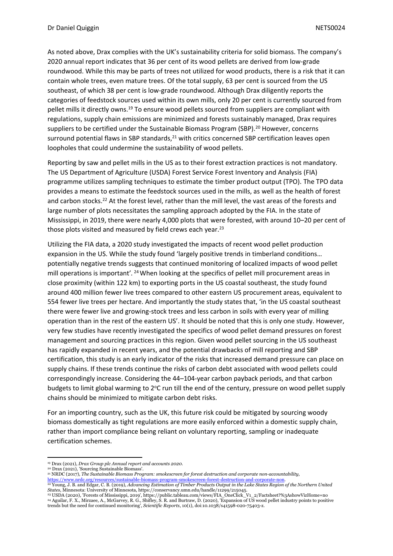As noted above, Drax complies with the UK's sustainability criteria for solid biomass. The company's 2020 annual report indicates that 36 per cent of its wood pellets are derived from low-grade roundwood. While this may be parts of trees not utilized for wood products, there is a risk that it can contain whole trees, even mature trees. Of the total supply, 63 per cent is sourced from the US southeast, of which 38 per cent is low-grade roundwood. Although Drax diligently reports the categories of feedstock sources used within its own mills, only 20 per cent is currently sourced from pellet mills it directly owns.<sup>19</sup> To ensure wood pellets sourced from suppliers are compliant with regulations, supply chain emissions are minimized and forests sustainably managed, Drax requires suppliers to be certified under the Sustainable Biomass Program (SBP).<sup>20</sup> However, concerns surround potential flaws in SBP standards,<sup>21</sup> with critics concerned SBP certification leaves open loopholes that could undermine the sustainability of wood pellets.

Reporting by saw and pellet mills in the US as to their forest extraction practices is not mandatory. The US Department of Agriculture (USDA) Forest Service Forest Inventory and Analysis (FIA) programme utilizes sampling techniques to estimate the timber product output (TPO). The TPO data provides a means to estimate the feedstock sources used in the mills, as well as the health of forest and carbon stocks.<sup>22</sup> At the forest level, rather than the mill level, the vast areas of the forests and large number of plots necessitates the sampling approach adopted by the FIA. In the state of Mississippi, in 2019, there were nearly 4,000 plots that were forested, with around 10–20 per cent of those plots visited and measured by field crews each year.<sup>23</sup>

Utilizing the FIA data, a 2020 study investigated the impacts of recent wood pellet production expansion in the US. While the study found 'largely positive trends in timberland conditions… potentially negative trends suggests that continued monitoring of localized impacts of wood pellet mill operations is important'. <sup>24</sup> When looking at the specifics of pellet mill procurement areas in close proximity (within 122 km) to exporting ports in the US coastal southeast, the study found around 400 million fewer live trees compared to other eastern US procurement areas, equivalent to 554 fewer live trees per hectare. And importantly the study states that, 'in the US coastal southeast there were fewer live and growing-stock trees and less carbon in soils with every year of milling operation than in the rest of the eastern US'. It should be noted that this is only one study. However, very few studies have recently investigated the specifics of wood pellet demand pressures on forest management and sourcing practices in this region. Given wood pellet sourcing in the US southeast has rapidly expanded in recent years, and the potential drawbacks of mill reporting and SBP certification, this study is an early indicator of the risks that increased demand pressure can place on supply chains. If these trends continue the risks of carbon debt associated with wood pellets could correspondingly increase. Considering the 44–104-year carbon payback periods, and that carbon budgets to limit global warming to 2°C run till the end of the century, pressure on wood pellet supply chains should be minimized to mitigate carbon debt risks.

For an importing country, such as the UK, this future risk could be mitigated by sourcing woody biomass domestically as tight regulations are more easily enforced within a domestic supply chain, rather than import compliance being reliant on voluntary reporting, sampling or inadequate certification schemes.

<sup>21</sup> NRDC (2017), *The Sustainable Biomass Program: smokescreen for forest destruction and corporate non-accountability,*

<sup>19</sup> Drax (2021), *Drax Group plc Annual report and accounts 2020*.

<sup>20</sup> Drax (2021), 'Sourcing Sustainable Biomass'.

<sup>&</sup>lt;u><https://www.nrdc.org/resources/sustainable-biomass-program-smokescreen-forest-destruction-and-corporate-non></u>.<br><sup>22</sup> Young, J. B. and Edgar, C. B. (2019), Advancing Estimation of Timber Products Output in the Lake States Re

*States,* Minnesota: University of Minnesota, https://conservancy.umn.edu/handle/11299/215045.<br><sup>23</sup> USDA (2020), 'Forests of Mississippi, 2019', https://public.tableau.com/views/FIA\_OneClick\_V1\_2/Factsheet?%3AshowVizHome=n trends but the need for continued monitoring', *Scientific Reports*, 10(1), doi:10.1038/s41598-020-75403-z.